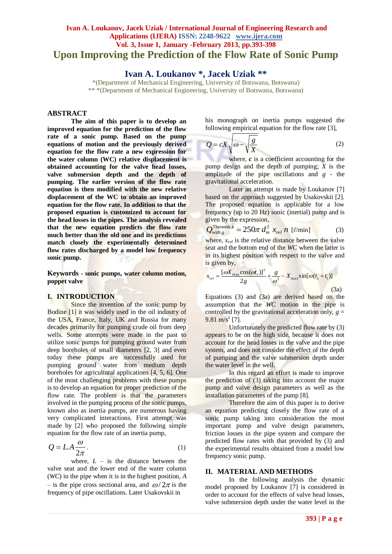# **Ivan A. Loukanov, Jacek Uziak / International Journal of Engineering Research and Applications (IJERA) ISSN: 2248-9622 www.ijera.com Vol. 3, Issue 1, January -February 2013, pp.393-398 Upon Improving the Prediction of the Flow Rate of Sonic Pump**

**Ivan A. Loukanov \*, Jacek Uziak \*\***

\*(Department of Mechanical Engineering, University of Botswana, Botswana) \*\* \*(Department of Mechanical Engineering, University of Botswana, Botswana)

## **ABSTRACT**

**The aim of this paper is to develop an improved equation for the prediction of the flow rate of a sonic pump. Based on the pump equations of motion and the previously derived equation for the flow rate a new expression for the water column (WC) relative displacement is obtained accounting for the valve head losses, valve submersion depth and the depth of pumping. The earlier version of the flow rate equation is then modified with the new relative displacement of the WC to obtain an improved equation for the flow rate. In addition to that the proposed equation is customized to account for the head losses in the pipes. The analysis revealed that the new equation predicts the flow rate much better than the old one and its predictions match closely the experimentally determined flow rates discharged by a model low frequency sonic pump.**

**Keywords - sonic pumps, water column motion, poppet valve**

## **I. INTRODUCTION**

Since the invention of the sonic pump by Bodine [1] it was widely used in the oil industry of the USA, France, Italy, UK and Russia for many decades primarily for pumping crude oil from deep wells. Some attempts were made in the past to utilize sonic pumps for pumping ground water from deep boreholes of small diameters [2, 3] and even today these pumps are successfully used for pumping ground water from medium depth boreholes for agricultural applications [4, 5, 6]. One of the most challenging problems with these pumps is to develop an equation for proper prediction of the flow rate. The problem is that the parameters involved in the pumping process of the sonic pumps, known also as inertia pumps, are numerous having very complicated interactions. First attempt was made by [2] who proposed the following simple equation for the flow rate of an inertia pump,

$$
Q = LA \frac{\omega}{2\pi}.
$$
 (1)

where,  $L - i$ s the distance between the valve seat and the lower end of the water column (*WC*) in the pipe when it is in the highest position, *A* – is the pipe cross sectional area, and  $\omega/2\pi$  is the frequency of pipe oscillations. Later Usakovskii in

his monograph on inertia pumps suggested the following empirical equation for the flow rate [3],

$$
Q = cX \sqrt{\omega - \sqrt{\frac{g}{X}}}
$$
 (2)

where, *c* is a coefficient accounting for the pump design and the depth of pumping; *X* is the amplitude of the pipe oscillations and *g* - the gravitational acceleration.

Later an attempt is made by Loukanov [7] based on the approach suggested by Usakovskii [2]. The proposed equation is applicable for a low frequency (up to 20 Hz) sonic (inertial) pump and is given by the expression,

$$
Q_{\text{with } g}^{\text{Theoretical}} = 250\pi \, d_{in}^2 \, x_{rel} \, n \, [\ell/\text{min}] \tag{3}
$$

where,  $x_{rel}$  is the relative distance between the valve seat and the bottom end of the *WC* when the latter is in its highest position with respect to the valve and is given by,

$$
x_{rel} = \frac{[\omega X_{\text{max}} \cos(\omega t_s)]^2}{2g} + \frac{g}{\omega^2} - X_{\text{max}} \sin[\omega (t_s + t_1)]
$$
(3a)

Equations (3) and (3a) are derived based on the assumption that the *WC* motion in the pipe is controlled by the gravitational acceleration only,  $g =$  $9.81 \text{ m/s}^2$  [7].

Unfortunately the predicted flow rate by (3) appears to be on the high side, because it does not account for the head losses in the valve and the pipe system, and does not consider the effect of the depth of pumping and the valve submersion depth under the water level in the well.

In this regard an effort is made to improve the prediction of (3) taking into account the major pump and valve design parameters as well as the installation parameters of the pump [8].

Therefore the aim of this paper is to derive an equation predicting closely the flow rate of a sonic pump taking into consideration the most important pump and valve design parameters, friction losses in the pipe system and compare the predicted flow rates with that provided by (3) and the experimental results obtained from a model low frequency sonic pump.

#### **II. MATERIAL AND METHODS**

In the following analysis the dynamic model proposed by Loukanov [7] is considered in order to account for the effects of valve head losses, valve submersion depth under the water level in the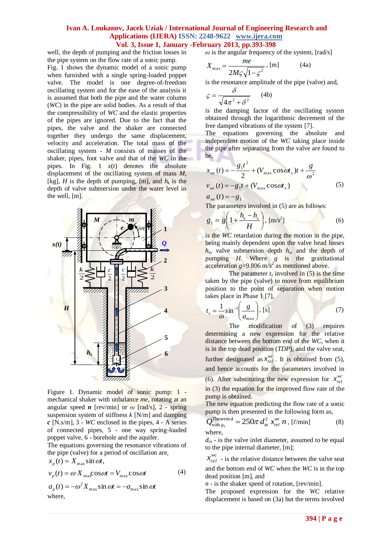well, the depth of pumping and the friction losses in the pipe system on the flow rate of a sonic pump.

Fig. 1 shows the dynamic model of a sonic pump when furnished with a single spring-loaded poppet valve. The model is one degree-of-freedom oscillating system and for the ease of the analysis it is assumed that both the pipe and the water column (*WC*) in the pipe are solid bodies. As a result of that the compressibility of *WC* and the elastic properties of the pipes are ignored. Due to the fact that the pipes, the valve and the shaker are connected together they undergo the same displacement, velocity and acceleration. The total mass of the oscillating system - *M* consists of masses of the shaker, pipes, foot valve and that of the *WC* in the pipes. In Fig. 1 *x*(*t*) denotes the absolute displacement of the oscillating system of mass *M*, [kg],  $H$  is the depth of pumping, [m], and  $h_s$  is the depth of valve submersion under the water level in the well, [m].



Figure 1. Dynamic model of sonic pump: 1 mechanical shaker with unbalance *me*, rotating at an angular speed *n* [rev/min] or  $\omega$  [rad/s], 2 - spring suspension system of stiffness *k* [N/m] and damping *c* [N.s/m], 3 - *WC* enclosed in the pipes, 4 - A series of connected pipes, 5 - one way spring-loaded poppet valve, 6 - borehole and the aquifer.

The equations governing the resonance vibrations of the pipe (valve) for a period of oscillation are,

$$
x_p(t) = X_{\text{max}} \sin \omega t,
$$
  
\n
$$
v_p(t) = \omega X_{\text{max}} \cos \omega t = V_{\text{max}} \cos \omega t
$$
 (4)  
\n
$$
a_p(t) = -\omega^2 X_{\text{max}} \sin \omega t = -a_{\text{max}} \sin \omega t
$$

where,

 $\omega$  is the angular frequency of the system, [rad/s]

$$
X_{\text{max}} = \frac{me}{2M\varsigma\sqrt{1-\varsigma^2}}, \text{ [m]} \tag{4a}
$$

is the resonance amplitude of the pipe (valve) and,

$$
\varsigma = \frac{\delta}{\sqrt{4\pi^2 + \delta^2}} \qquad (4b)
$$

is the damping factor of the oscillating system obtained through the logarithmic decrement of the free damped vibrations of the system [7].

The equations governing the absolute and independent motion of the *WC* taking place inside the pipe after separating from the valve are found to be,

$$
x_{wc}(t) = -\frac{g_1 t^2}{2} + (V_{\text{max}} \cos \omega t_s)t + \frac{g}{\omega^2}
$$
  

$$
v_{wc}(t) = -g_1 t + (V_{\text{max}} \cos \omega t_s)
$$
 (5)  

$$
a_{wc}(t) = -g_1
$$

The parameters involved in (5) are as follows:

$$
g_1 = g \left( 1 + \frac{h_v - h_s}{H} \right), \, [\text{m/s}^2] \tag{6}
$$

is the *WC* retardation during the motion in the pipe, being mainly dependent upon the valve head losses  $h_v$ , valve submersion depth  $h_s$ , and the depth of pumping *H.* Where *g* is the gravitational acceleration  $g=9.806 \text{ m/s}^2$  as mentioned above.

The parameter  $t_s$  involved in  $(5)$  is the time taken by the pipe (valve) to move from equilibrium position to the point of separation when motion takes place in Phase 1 [7],

$$
t_s = \frac{1}{\omega} \sin^{-1} \left( \frac{g}{a_{\text{max}}} \right), \text{ [s]}
$$
 (7)

The modification of (3) requires determining a new expression for the relative distance between the bottom end of the *WC,* when it is in the top dead position (*TDP*), and the valve seat, further designated as  $x_{rel}^{wc}$ . It is obtained from (5), and hence accounts for the parameters involved in (6). After substituting the new expression for  $x_{rel}^{wc}$ 

in (3) the equation for the improved flow rate of the pump is obtained.

The new equation predicting the flow rate of a sonic pump is then presented in the following form as,

$$
Q_{\text{with } g_1}^{\text{Theoretical}} = 250\pi \, d_{in}^2 \, x_{rel}^{\text{wc}} \, n \, , \, [\ell/\text{min}] \tag{8}
$$
\n
$$
\text{where,}
$$

 $d_{in}$  - is the valve inlet diameter, assumed to be equal to the pipe internal diameter, [m];

 $x_{rel}^{wc}$  - is the relative distance between the valve seat and the bottom end of *WC* when the *WC* is in the top dead position [m], and

*n* - is the shaker speed of rotation, [rev/min].

The proposed expression for the *WC* relative displacement is based on (3a) but the terms involved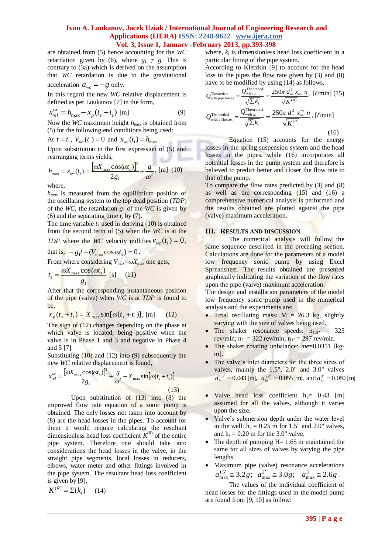are obtained from (5) hence accounting for the *WC* retardation given by (6), where  $g_1 \neq g$ . This is contrary to (3a) which is derived on the assumption that *WC* retardation is due to the gravitational acceleration  $a_{wc} = -g$  only.

In this regard the new *WC* relative displacement is defined as per Loukanov [7] in the form,

$$
x_{rel}^{wc} = h_{\text{max}} - x_p(t_s + t_1) \text{ [m]}
$$
 (9)

Now the *WC* maximum height *hmax* is obtained from (5) for the following end conditions being used:

At 
$$
t = t_1
$$
,  $V_{wc}(t_1) = 0$  and  $x_{wc}(t_1) = h_{max}$ 

Upon substitution in the first expression of (5) and rearranging terms yields,

$$
h_{\max} = x_{\text{wc}}(t_1) = \frac{[\omega X_{\max} \cos(\omega t_s)]^2}{2g_1} + \frac{g}{\omega^2}, \text{ [m]} (10)
$$

where,

 $h_{max}$  is measured from the equilibrium position of the oscillating system to the top dead position (*TDP*) of the *WC*, the retardation  $g<sub>I</sub>$  of the *WC* is given by (6) and the separating time  $t_s$  by (7).

The time variable  $t_I$  used in deriving (10) is obtained from the second term of (5) when the *WC* is at the *TDP* where the *WC* velocity nullifies  $v_{wc}(t_1) = 0$ ,

that is,  $-g_1 t + (V_{\text{max}} \cos \omega t_s) = 0$ . From where considering  $V_{\text{max}} = \omega X_{\text{max}}$  one gets, 1 *g*  $\mathbf{v}_1 = \frac{\boldsymbol{\omega} \mathbf{x}_{\text{max}}}{\mathbf{v}_1}$  $t_1 = \frac{\omega X_{\text{max}} \cos(\omega t_s)}{s}$  [s] (11)

After that the corresponding instantaneous position of the pipe (valve) when *WC* is at *TDP* is found to be,

$$
x_p(t_s + t_1) = X_{\text{max}} \sin[\omega(t_s + t_1)], \text{ [m]} \qquad (12)
$$

The sign of (12) changes depending on the phase at which valve is located, being positive when the valve is in Phase 1 and 3 and negative in Phase 4 and 5 [7].

Substituting (10) and (12) into (9) subsequently the new *WC* relative displacement is found,

$$
x_{rel}^{wc} = \frac{\left[\omega X_{\text{max}}\cos(\omega t_s)\right]^2}{2g_1} + \frac{g}{\omega^2} - X_{\text{max}}\sin[\omega(t_s + t_1)]
$$
\n(13)

Upon substitution of (13) into (8) the improved flow rate equation of a sonic pump is obtained. The only losses not taken into account by (8) are the head losses in the pipes. To account for them it would require calculating the resultant dimensionless head loss coefficient  $K^{(R)}$  of the entire pipe system. Therefore one should take into considerations the head losses in the valve, in the straight pipe segments, local losses in reducers, elbows, water meter and other fittings involved in the pipe system. The resultant head loss coefficient is given by [9],

$$
K^{(R)} = \Sigma(k_i) \qquad (14)
$$

where,  $k_i$  is dimensionless head loss coefficient in a particular fitting of the pipe system.

According to Kletzkin [9] to account for the head loss in the pipes the flow rate given by (3) and (8) have to be modified by using (14) as follows,

$$
Q_{\text{with pipe losses}}^{\text{Theoretical}} = \frac{Q_{\text{with g}}^{\text{Theoretical}}}{\sqrt{\sum k_i}} = \frac{250\pi d_m^2 x_{rel} n}{\sqrt{K^{(R)}}}, \, [\ell/\text{min}] \ (15)
$$
\n
$$
Q_{\text{with all losses}}^{\text{Theoretical}} = \frac{Q_{\text{with g}_1}^{\text{Theoretical}}}{\sqrt{\sum k_i}} = \frac{250\pi d_m^2 x_{rel}^{vc} n}{\sqrt{K^{(R)}}}, \, [\ell/\text{min}] \ (16)
$$

Equation (15) accounts for the energy losses in the spring suspension system and the head losses in the pipes, while (16) incorporates all potential losses in the pump system and therefore is believed to predict better and closer the flow rate to that of the pump.

To compare the flow rates predicted by (3) and (8) as well as the corresponding  $(15)$  and  $(16)$  a comprehensive numerical analysis is performed and the results obtained are plotted against the pipe (valve) maximum acceleration.

## **III. RESULTS AND DISCUSSION**

The numerical analysis will follow the same sequence described in the preceding section. Calculations are done for the parameters of a model low frequency sonic pump by using Excel Spreadsheet. The results obtained are presented graphically indicating the variation of the flow rates upon the pipe (valve) maximum acceleration.

The design and installation parameters of the model low frequency sonic pump used in the numerical analysis and the experiments are:

- Total oscillating mass:  $M = 26.3$  kg, slightly varying with the size of valves being used.
- The shaker resonance speeds:  $n_{1.5}$ " = 325 rev/min;  $n_{2}$ " = 322 rev/min;  $n_{3}$ " = 297 rev/min.
- The shaker rotating unbalance:  $me = 0.0351$  [kgm].
- The valve's inlet diameters for the three sizes of valves, mainly the 1.5", 2.0" and 3.0" valves  $d_{in}^{1.5'} = 0.043$  [m],  $d_{in}^{2.0''} = 0.055$  [m], and  $d_{in}^{3''} = 0.080$  [m]
- Valve head loss coefficient  $h_v$ = 0.43 [m] assumed for all the valves, although it varies upon the size.
- Valve's submersion depth under the water level in the well:  $h_s = 0.25$  m for 1.5" and 2.0" valves, and  $h_s = 0.20$  m for the 3.0" valve.
- The depth of pumping H = 1.65 m maintained the same for all sizes of valves by varying the pipe lengths.
- Maximum pipe (valve) resonance accelerations  $a_{\text{max}}^{1.5'} \approx 3.2g; a_{\text{max}}^{2'} \approx 3.0g; a_{\text{max}}^{3''} \approx 2.6g$ .

The values of the individual coefficient of head losses for the fittings used in the model pump are found from [9, 10] as follow: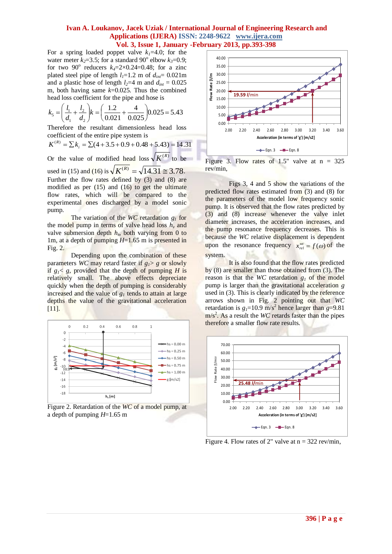For a spring loaded poppet valve  $k_1$ =4.0; for the water meter  $k_2$ =3.5; for a standard 90<sup>°</sup> elbow  $k_3$ =0.9; for two  $90^{\circ}$  reducers  $k_4=2\times0.24=0.48$ ; for a zinc plated steel pipe of length  $l_1=1.2$  m of  $d_{int}=0.021$ m and a plastic hose of length  $l_2$ =4 m and  $d_{int}$  = 0.025 m, both having same *k*=0.025. Thus the combined head loss coefficient for the pipe and hose is

$$
k_5 = \left(\frac{l_1}{d_1} + \frac{l_2}{d_2}\right) k = \left(\frac{1.2}{0.021} + \frac{4}{0.025}\right) 0.025 = 5.43
$$

Therefore the resultant dimensionless head loss coefficient of the entire pipe system is

$$
K^{(R)} = \sum k_i = \sum (4 + 3.5 + 0.9 + 0.48 + 5.43) = 14.31
$$

Or the value of modified head loss  $\sqrt{K^{(R)}}$  to be used in (15) and (16) is  $\sqrt{K^{(R)}} = \sqrt{14.31} \approx 3.78$ . Further the flow rates defined by (3) and (8) are modified as per  $(15)$  and  $(16)$  to get the ultimate flow rates, which will be compared to the experimental ones discharged by a model sonic

pump. The variation of the *WC* retardation *g<sup>1</sup>* for the model pump in terms of valve head loss  $h<sub>v</sub>$  and valve submersion depth  $h_s$ , both varying from 0 to 1m, at a depth of pumping *H*=1.65 m is presented in Fig. 2.

Depending upon the combination of these parameters *WC* may retard faster if  $g<sub>1</sub> > g$  or slowly if  $g_1$ < g, provided that the depth of pumping *H* is relatively small. The above effects depreciate quickly when the depth of pumping is considerably increased and the value of *g<sup>1</sup>* tends to attain at large depths the value of the gravitational acceleration [11].



Figure 2. Retardation of the *WC* of a model pump, at a depth of pumping *H*=1.65 m



Figure 3. Flow rates of 1.5" valve at  $n = 325$ rev/min,

Figs 3, 4 and 5 show the variations of the predicted flow rates estimated from (3) and (8) for the parameters of the model low frequency sonic pump. It is observed that the flow rates predicted by (3) and (8) increase whenever the valve inlet diameter increases, the acceleration increases, and the pump resonance frequency decreases. This is because the *WC* relative displacement is dependent upon the resonance frequency  $x_{rel}^{wc} = f(\omega)$  of the system.

It is also found that the flow rates predicted by (8) are smaller than those obtained from (3). The reason is that the *WC* retardation  $g_l$  of the model pump is larger than the gravitational acceleration *g* used in (3). This is clearly indicated by the reference arrows shown in Fig. 2 pointing out that *WC* retardation is  $g_I = 10.9$  m/s<sup>2</sup> hence larger than  $g = 9.81$  $m/s<sup>2</sup>$ . As a result the *WC* retards faster than the pipes therefore a smaller flow rate results.



Figure 4. Flow rates of 2" valve at  $n = 322$  rev/min,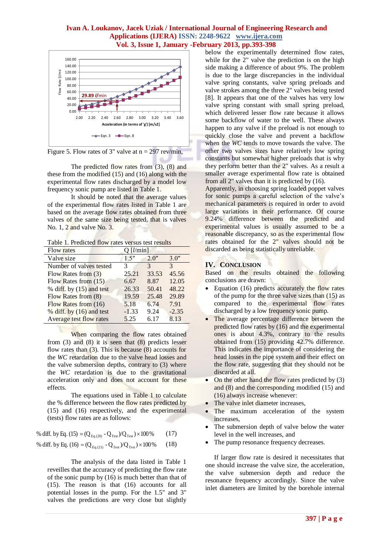

Figure 5. Flow rates of 3" valve at  $n = 297$  rev/min,

The predicted flow rates from (3), (8) and these from the modified (15) and (16) along with the experimental flow rates discharged by a model low frequency sonic pump are listed in Table 1.

It should be noted that the average values of the experimental flow rates listed in Table 1 are based on the average flow rates obtained from three valves of the same size being tested, that is valves No. 1, 2 and valve No. 3.

Table 1. Predicted flow rates versus test results

| <b>Flow rates</b>          | $O$ [ <i>l</i> /min] |               |               |
|----------------------------|----------------------|---------------|---------------|
| Valve size                 | 1.5''                | 2.0''         | 3.0''         |
| Number of valves tested    | 3                    | $\mathcal{R}$ | $\mathcal{R}$ |
| Flow Rates from (3)        | 25.21                | 33.53         | 45.56         |
| Flow Rates from (15)       | 6.67                 | 8.87          | 12.05         |
| % diff. by $(15)$ and test | 26.33                | 50.41         | 48.22         |
| Flow Rates from (8)        | 19.59                | 25.48         | 29.89         |
| Flow Rates from (16)       | 5.18                 | 6.74          | 7.91          |
| % diff. by $(16)$ and test | $-1.33$              | 9.24          | $-2.35$       |
| Average test flow rates    | 5.25                 | 6.17          | 8.13          |

When comparing the flow rates obtained from  $(3)$  and  $(8)$  it is seen that  $(8)$  predicts lesser flow rates than  $(3)$ . This is because  $(8)$  accounts for the *WC* retardation due to the valve head losses and the valve submersion depths, contrary to (3) where the *WC* retardation is due to the gravitational acceleration only and does not account for these effects.

The equations used in Table 1 to calculate the % difference between the flow rates predicted by (15) and (16) respectively, and the experimental (tests) flow rates are as follows:

% diff. by Eq. (15) = (Q  $_{\rm{Eq. (20)}}$  - Q  $_{\rm{Test}}$  )/Q  $_{\rm{Test}}$  )  $\times 100$  % (17)

% diff. by Eq. (16) = 
$$
(Q_{Eq.(21)} - Q_{Test})/Q_{Test} \times 100\%
$$
 (18)

The analysis of the data listed in Table 1 reveilles that the accuracy of predicting the flow rate of the sonic pump by (16) is much better than that of (15). The reason is that (16) accounts for all potential losses in the pump. For the 1.5" and 3" valves the predictions are very close but slightly below the experimentally determined flow rates, while for the 2" valve the prediction is on the high side making a difference of about 9%. The problem is due to the large discrepancies in the individual valve spring constants, valve spring preloads and valve strokes among the three 2" valves being tested [8]. It appears that one of the valves has very low valve spring constant with small spring preload, which delivered lesser flow rate because it allows some backflow of water to the well. These always happen to any valve if the preload is not enough to quickly close the valve and prevent a backflow when the *WC* tends to move towards the valve. The other two valves sizes have relatively low spring constants but somewhat higher preloads that is why they perform better than the 2" valves. As a result a smaller average experimental flow rate is obtained from all 2" valves than it is predicted by (16).

Apparently, in choosing spring loaded poppet valves for sonic pumps a careful selection of the valve's mechanical parameters is required in order to avoid large variations in their performance. Of course 9.24% difference between the predicted and experimental values is usually assumed to be a reasonable discrepancy, so as the experimental flow rates obtained for the 2" valves should not be discarded as being statistically unreliable.

## **IV. CONCLUSION**

Based on the results obtained the following conclusions are drawn:

- Equation (16) predicts accurately the flow rates of the pump for the three valve sizes than (15) as compared to the experimental flow rates discharged by a low frequency sonic pump.
- The average percentage difference between the predicted flow rates by (16) and the experimental ones is about 4.3%, contrary to the results obtained from (15) providing 42.7% difference. This indicates the importance of considering the head losses in the pipe system and their effect on the flow rate, suggesting that they should not be discarded at all.
- On the other hand the flow rates predicted by (3) and (8) and the corresponding modified (15) and (16) always increase whenever:
- The valve inlet diameter increases,
- The maximum acceleration of the system increases,
- The submersion depth of valve below the water level in the well increases, and
- The pump resonance frequency decreases.

If larger flow rate is desired it necessitates that one should increase the valve size, the acceleration, the valve submersion depth and reduce the resonance frequency accordingly. Since the valve inlet diameters are limited by the borehole internal